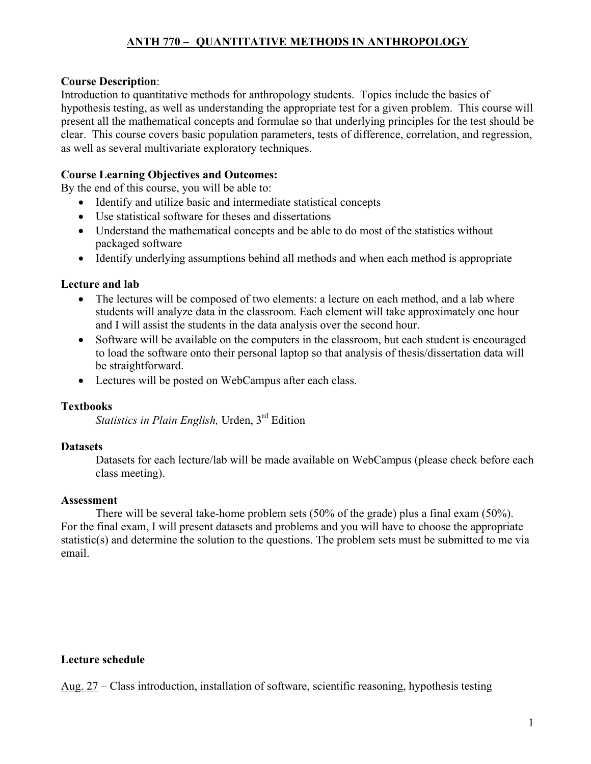# **ANTH 770 – QUANTITATIVE METHODS IN ANTHROPOLOGY**

#### **Course Description**:

Introduction to quantitative methods for anthropology students. Topics include the basics of hypothesis testing, as well as understanding the appropriate test for a given problem. This course will present all the mathematical concepts and formulae so that underlying principles for the test should be clear. This course covers basic population parameters, tests of difference, correlation, and regression, as well as several multivariate exploratory techniques.

### **Course Learning Objectives and Outcomes:**

By the end of this course, you will be able to:

- Identify and utilize basic and intermediate statistical concepts
- Use statistical software for theses and dissertations
- Understand the mathematical concepts and be able to do most of the statistics without packaged software
- Identify underlying assumptions behind all methods and when each method is appropriate

### **Lecture and lab**

- The lectures will be composed of two elements: a lecture on each method, and a lab where students will analyze data in the classroom. Each element will take approximately one hour and I will assist the students in the data analysis over the second hour.
- Software will be available on the computers in the classroom, but each student is encouraged to load the software onto their personal laptop so that analysis of thesis/dissertation data will be straightforward.
- Lectures will be posted on WebCampus after each class.

#### **Textbooks**

*Statistics in Plain English,* Urden, 3rd Edition

#### **Datasets**

Datasets for each lecture/lab will be made available on WebCampus (please check before each class meeting).

#### **Assessment**

There will be several take-home problem sets (50% of the grade) plus a final exam (50%). For the final exam, I will present datasets and problems and you will have to choose the appropriate statistic(s) and determine the solution to the questions. The problem sets must be submitted to me via email.

#### **Lecture schedule**

Aug. 27 – Class introduction, installation of software, scientific reasoning, hypothesis testing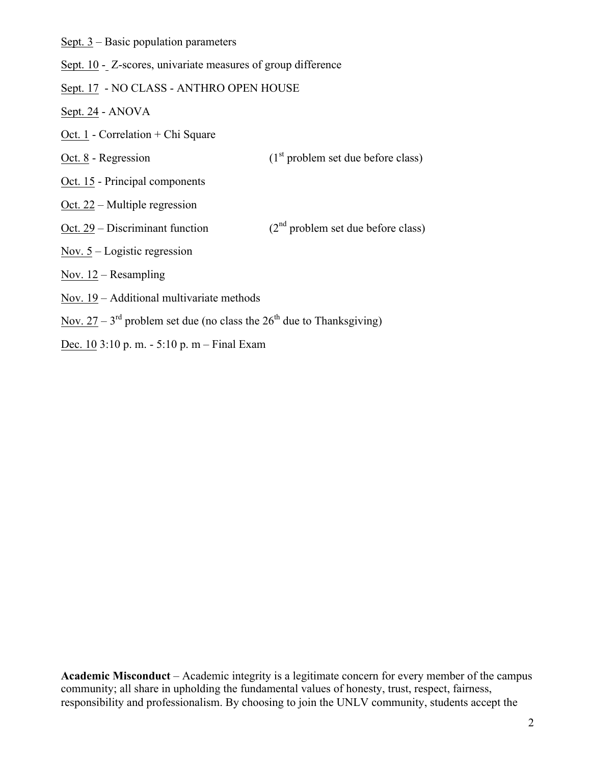Sept. 3 – Basic population parameters

Sept. 10 - Z-scores, univariate measures of group difference

- Sept. 17 NO CLASS ANTHRO OPEN HOUSE
- Sept. 24 ANOVA
- Oct. 1 Correlation + Chi Square
- Oct.  $8$  Regression (1st problem set due before class)
- Oct. 15 Principal components
- Oct. 22 Multiple regression
- Oct. 29 Discriminant function  $(2<sup>nd</sup> problem set due before class)$
- Nov.  $5 -$ Logistic regression
- Nov.  $12$  Resampling
- Nov. 19 Additional multivariate methods
- Nov.  $27 3^{\text{rd}}$  problem set due (no class the  $26^{\text{th}}$  due to Thanksgiving)
- Dec. 10 3:10 p. m. 5:10 p. m Final Exam

**Academic Misconduct** – Academic integrity is a legitimate concern for every member of the campus community; all share in upholding the fundamental values of honesty, trust, respect, fairness, responsibility and professionalism. By choosing to join the UNLV community, students accept the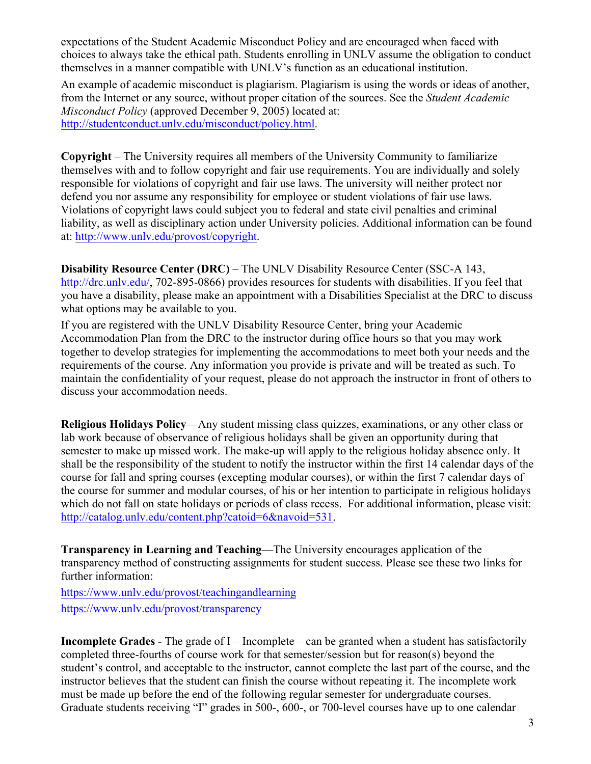expectations of the Student Academic Misconduct Policy and are encouraged when faced with choices to always take the ethical path. Students enrolling in UNLV assume the obligation to conduct themselves in a manner compatible with UNLV's function as an educational institution.

An example of academic misconduct is plagiarism. Plagiarism is using the words or ideas of another, from the Internet or any source, without proper citation of the sources. See the *Student Academic Misconduct Policy* (approved December 9, 2005) located at: http://studentconduct.unlv.edu/misconduct/policy.html.

**Copyright** – The University requires all members of the University Community to familiarize themselves with and to follow copyright and fair use requirements. You are individually and solely responsible for violations of copyright and fair use laws. The university will neither protect nor defend you nor assume any responsibility for employee or student violations of fair use laws. Violations of copyright laws could subject you to federal and state civil penalties and criminal liability, as well as disciplinary action under University policies. Additional information can be found at: http://www.unlv.edu/provost/copyright.

**Disability Resource Center (DRC)** – The UNLV Disability Resource Center (SSC-A 143, http://drc.unly.edu/, 702-895-0866) provides resources for students with disabilities. If you feel that you have a disability, please make an appointment with a Disabilities Specialist at the DRC to discuss what options may be available to you.

If you are registered with the UNLV Disability Resource Center, bring your Academic Accommodation Plan from the DRC to the instructor during office hours so that you may work together to develop strategies for implementing the accommodations to meet both your needs and the requirements of the course. Any information you provide is private and will be treated as such. To maintain the confidentiality of your request, please do not approach the instructor in front of others to discuss your accommodation needs.

**Religious Holidays Policy**—Any student missing class quizzes, examinations, or any other class or lab work because of observance of religious holidays shall be given an opportunity during that semester to make up missed work. The make-up will apply to the religious holiday absence only. It shall be the responsibility of the student to notify the instructor within the first 14 calendar days of the course for fall and spring courses (excepting modular courses), or within the first 7 calendar days of the course for summer and modular courses, of his or her intention to participate in religious holidays which do not fall on state holidays or periods of class recess. For additional information, please visit: http://catalog.unlv.edu/content.php?catoid=6&navoid=531.

**Transparency in Learning and Teaching**—The University encourages application of the transparency method of constructing assignments for student success. Please see these two links for further information:

https://www.unlv.edu/provost/teachingandlearning https://www.unlv.edu/provost/transparency

**Incomplete Grades** - The grade of I – Incomplete – can be granted when a student has satisfactorily completed three-fourths of course work for that semester/session but for reason(s) beyond the student's control, and acceptable to the instructor, cannot complete the last part of the course, and the instructor believes that the student can finish the course without repeating it. The incomplete work must be made up before the end of the following regular semester for undergraduate courses. Graduate students receiving "I" grades in 500-, 600-, or 700-level courses have up to one calendar